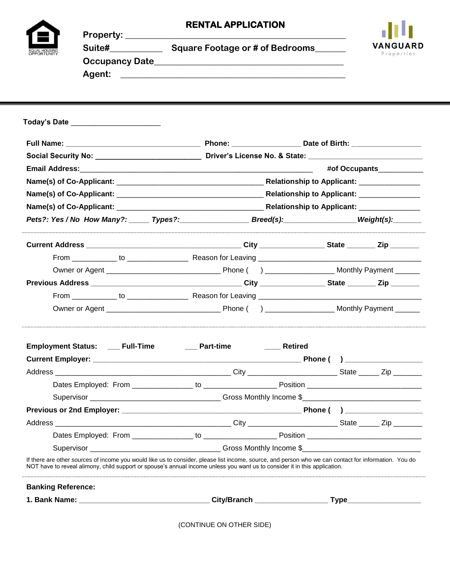|                                                                   |                                       |                                                                                                                                                                                                                                                                                     | <b>RENTAL APPLICATION</b> |  |            |  |  |  |
|-------------------------------------------------------------------|---------------------------------------|-------------------------------------------------------------------------------------------------------------------------------------------------------------------------------------------------------------------------------------------------------------------------------------|---------------------------|--|------------|--|--|--|
|                                                                   |                                       |                                                                                                                                                                                                                                                                                     |                           |  |            |  |  |  |
|                                                                   |                                       |                                                                                                                                                                                                                                                                                     |                           |  | Properties |  |  |  |
|                                                                   |                                       |                                                                                                                                                                                                                                                                                     |                           |  |            |  |  |  |
|                                                                   |                                       |                                                                                                                                                                                                                                                                                     |                           |  |            |  |  |  |
|                                                                   |                                       |                                                                                                                                                                                                                                                                                     |                           |  |            |  |  |  |
|                                                                   | Today's Date ________________________ |                                                                                                                                                                                                                                                                                     |                           |  |            |  |  |  |
|                                                                   |                                       |                                                                                                                                                                                                                                                                                     |                           |  |            |  |  |  |
|                                                                   |                                       |                                                                                                                                                                                                                                                                                     |                           |  |            |  |  |  |
|                                                                   |                                       |                                                                                                                                                                                                                                                                                     |                           |  |            |  |  |  |
|                                                                   |                                       |                                                                                                                                                                                                                                                                                     |                           |  |            |  |  |  |
|                                                                   |                                       |                                                                                                                                                                                                                                                                                     |                           |  |            |  |  |  |
|                                                                   |                                       |                                                                                                                                                                                                                                                                                     |                           |  |            |  |  |  |
| Pets?: Yes / No How Many?: Types?: Breed(s): Breed(s): Weight(s): |                                       |                                                                                                                                                                                                                                                                                     |                           |  |            |  |  |  |
|                                                                   |                                       |                                                                                                                                                                                                                                                                                     |                           |  |            |  |  |  |
|                                                                   |                                       |                                                                                                                                                                                                                                                                                     |                           |  |            |  |  |  |
|                                                                   |                                       |                                                                                                                                                                                                                                                                                     |                           |  |            |  |  |  |
|                                                                   |                                       |                                                                                                                                                                                                                                                                                     |                           |  |            |  |  |  |
|                                                                   |                                       |                                                                                                                                                                                                                                                                                     |                           |  |            |  |  |  |
|                                                                   |                                       |                                                                                                                                                                                                                                                                                     |                           |  |            |  |  |  |
|                                                                   |                                       | Employment Status: ___ Full-Time ______ Part-time                                                                                                                                                                                                                                   | <b>Example 1</b> Retired  |  |            |  |  |  |
|                                                                   |                                       |                                                                                                                                                                                                                                                                                     |                           |  |            |  |  |  |
|                                                                   |                                       |                                                                                                                                                                                                                                                                                     |                           |  |            |  |  |  |
|                                                                   |                                       |                                                                                                                                                                                                                                                                                     |                           |  |            |  |  |  |
|                                                                   |                                       |                                                                                                                                                                                                                                                                                     |                           |  |            |  |  |  |
|                                                                   |                                       |                                                                                                                                                                                                                                                                                     |                           |  |            |  |  |  |
|                                                                   |                                       |                                                                                                                                                                                                                                                                                     |                           |  |            |  |  |  |
|                                                                   |                                       |                                                                                                                                                                                                                                                                                     |                           |  |            |  |  |  |
|                                                                   |                                       |                                                                                                                                                                                                                                                                                     |                           |  |            |  |  |  |
|                                                                   |                                       | If there are other sources of income you would like us to consider, please list income, source, and person who we can contact for information. You do<br>NOT have to reveal alimony, child support or spouse's annual income unless you want us to consider it in this application. |                           |  |            |  |  |  |
| <b>Banking Reference:</b>                                         |                                       |                                                                                                                                                                                                                                                                                     |                           |  |            |  |  |  |
|                                                                   |                                       |                                                                                                                                                                                                                                                                                     |                           |  |            |  |  |  |

(CONTINUE ON OTHER SIDE)